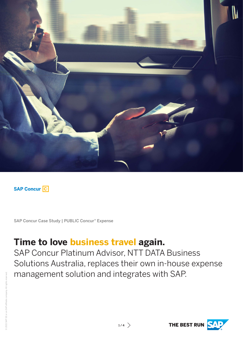

**SAP Concur C** 

SAP Concur Case Study | PUBLIC Concur® Expense

### **Time to love business travel again.**

SAP Concur Platinum Advisor, NTT DATA Business Solutions Australia, replaces their own in-house expense management solution and integrates with SAP.

THE BEST RUN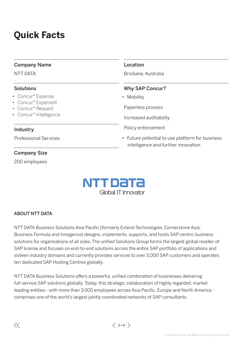## **Quick Facts**

### Company Name

NTT DATA

### Solutions

- Concur® Expense
- Concur® ExpenseIt
- Concur® Request
- Concur® Intelligence

### Industry

Professional Services

### Company Size

200 employees



Brisbane, Australia

### Why SAP Concur?

• Mobility

Paperless process

Increased auditability

Policy enforcement

• Future potential to use platform for business intelligence and further innovation



#### ABOUT NTT DATA

NTT DATA Business Solutions Asia Pacific (formerly Extend Technologies, Cornerstone Asia, Business Formula and Innogence) designs, implements, supports, and hosts SAP centric business solutions for organisations of all sizes. The unified Solutions Group forms the largest global reseller of SAP license and focuses on end-to-end solutions across the entire SAP portfolio of applications and sixteen industry domains and currently provides services to over 5,000 SAP customers and operates ten dedicated SAP Hosting Centres globally.

NTT DATA Business Solutions offers a powerful, unified combination of businesses delivering full-service SAP solutions globally. Today, this strategic collaboration of highly regarded, market leading entities - with more than 3,000 employees across Asia Pacific, Europe and North America comprises one of the world's largest jointly coordinated networks of SAP consultants.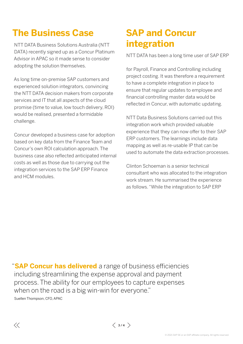## **The Business Case**

NTT DATA Business Solutions Australia (NTT DATA) recently signed up as a Concur Platinum Advisor in APAC so it made sense to consider adopting the solution themselves.

As long time on-premise SAP customers and experienced solution integrators, convincing the NTT DATA decision makers from corporate services and IT that all aspects of the cloud promise (time to value, low touch delivery, ROI) would be realised, presented a formidable challenge.

Concur developed a business case for adoption based on key data from the Finance Team and Concur's own ROI calculation approach. The business case also reflected anticipated internal costs as well as those due to carrying out the integration services to the SAP ERP Finance and HCM modules.

# **SAP and Concur integration**

NTT DATA has been a long time user of SAP ERP

for Payroll, Finance and Controlling including project costing. It was therefore a requirement to have a complete integration in place to ensure that regular updates to employee and financial controlling master data would be reflected in Concur, with automatic updating.

NTT Data Business Solutions carried out this integration work which provided valuable experience that they can now offer to their SAP ERP customers. The learnings include data mapping as well as re-usable IP that can be used to automate the data extraction processes.

Clinton Schoeman is a senior technical consultant who was allocated to the integration work stream. He summarised the experience as follows. "While the integration to SAP ERP

"**SAP Concur has delivered** a range of business efficiencies including streamlining the expense approval and payment process. The ability for our employees to capture expenses when on the road is a big win-win for everyone." Suellen Thompson, CFO, APAC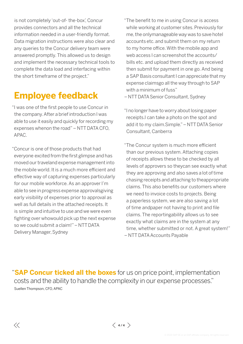is not completely 'out-of- the-box', Concur provides connectors and all the technical information needed in a user-friendly format. Data migration instructions were also clear and any queries to the Concur delivery team were answered promptly. This allowed us to design and implement the necessary technical tools to complete the data load and interfacing within the short timeframe of the project."

### **Employee feedback**

- "I was one of the first people to use Concur in the company. After a brief introduction I was able to use it easily and quickly for recording my expenses whenon the road" - NTT DATA CFO, APAC.
- "Concur is one of those products that had everyone excited from the first glimpse and has moved our traveland expense management into the mobile world. It is a much more efficient and effective way of capturing expenses particularly for our mobile workforce. As an approver I'm able to see in progress expense approvals giving early visibility of expenses prior to approval as well as full details in the attached receipts. It is simple and intuitive to use and we were even fighting over who would pick up the next expense so we could submit a claim!" – NTT DATA Delivery Manager, Sydney

 $\langle \langle$ 

- "The benefit to me in using Concur is access while working at customer sites. Previously for me, the onlymanageable way was to save hotel accounts etc. and submit them on my return to my home office. With the mobile app and web access I can screenshot the accounts/ bills etc. and upload them directly as received then submit for payment in one go. And being a SAP Basis consultant I can appreciate that my expense claimsgo all the way through to SAP with a minimum of fuss"
- NTT DATA Senior Consultant, Sydney
- "I no longer have to worry about losing paper receipts. I can take a photo on the spot and add it to my claim. Simple." – NTT DATA Senior Consultant, Canberra
- "The Concur system is much more efficient than our previous system. Attaching copies of receipts allows these to be checked by all levels of approvers so they can see exactly what they are approving and also saves a lot of time chasing receipts and attaching to the appropriate claims. This also benefits our customers where we need to invoice costs to projects. Being a paperless system, we are also saving a lot of time and paper not having to print and file claims. The reporting ability allows us to see exactly what claims are in the system at any time, whether submitted or not. A great system!" – NTT DATA Accounts Payable

"**SAP Concur ticked all the boxes** for us on price point, implementation costs and the ability to handle the complexity in our expense processes." Suellen Thompson, CFO, APAC